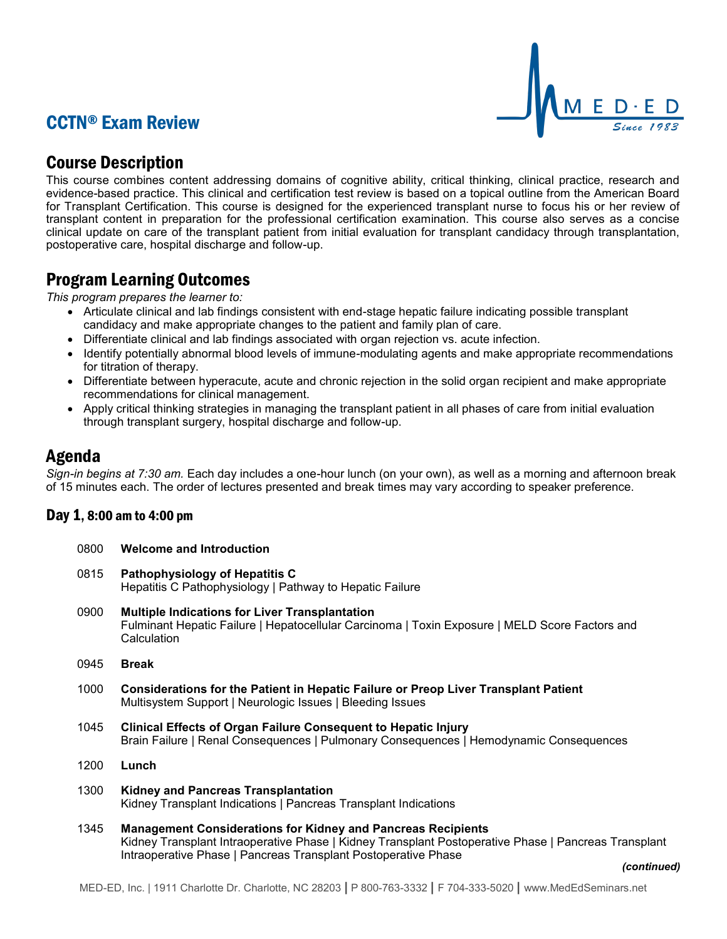# CCTN® Exam Review



## Course Description

This course combines content addressing domains of cognitive ability, critical thinking, clinical practice, research and evidence-based practice. This clinical and certification test review is based on a topical outline from the American Board for Transplant Certification. This course is designed for the experienced transplant nurse to focus his or her review of transplant content in preparation for the professional certification examination. This course also serves as a concise clinical update on care of the transplant patient from initial evaluation for transplant candidacy through transplantation, postoperative care, hospital discharge and follow-up.

## Program Learning Outcomes

*This program prepares the learner to:*

- Articulate clinical and lab findings consistent with end-stage hepatic failure indicating possible transplant candidacy and make appropriate changes to the patient and family plan of care.
- Differentiate clinical and lab findings associated with organ rejection vs. acute infection.
- Identify potentially abnormal blood levels of immune-modulating agents and make appropriate recommendations for titration of therapy.
- Differentiate between hyperacute, acute and chronic rejection in the solid organ recipient and make appropriate recommendations for clinical management.
- Apply critical thinking strategies in managing the transplant patient in all phases of care from initial evaluation through transplant surgery, hospital discharge and follow-up.

### Agenda

*Sign-in begins at 7:30 am.* Each day includes a one-hour lunch (on your own), as well as a morning and afternoon break of 15 minutes each. The order of lectures presented and break times may vary according to speaker preference.

### Day  $1, 8:00$  am to  $4:00$  pm

| 1, 8:00 am to 4:00 pm |                                                                                                                                                                                                                                               |  |  |
|-----------------------|-----------------------------------------------------------------------------------------------------------------------------------------------------------------------------------------------------------------------------------------------|--|--|
| 0800                  | <b>Welcome and Introduction</b>                                                                                                                                                                                                               |  |  |
| 0815                  | Pathophysiology of Hepatitis C<br>Hepatitis C Pathophysiology   Pathway to Hepatic Failure                                                                                                                                                    |  |  |
| 0900                  | <b>Multiple Indications for Liver Transplantation</b><br>Fulminant Hepatic Failure   Hepatocellular Carcinoma   Toxin Exposure   MELD Score Factors and<br>Calculation                                                                        |  |  |
| 0945                  | <b>Break</b>                                                                                                                                                                                                                                  |  |  |
| 1000                  | <b>Considerations for the Patient in Hepatic Failure or Preop Liver Transplant Patient</b><br>Multisystem Support   Neurologic Issues   Bleeding Issues                                                                                       |  |  |
| 1045                  | <b>Clinical Effects of Organ Failure Consequent to Hepatic Injury</b><br>Brain Failure   Renal Consequences   Pulmonary Consequences   Hemodynamic Consequences                                                                               |  |  |
| 1200                  | Lunch                                                                                                                                                                                                                                         |  |  |
| 1300                  | <b>Kidney and Pancreas Transplantation</b><br>Kidney Transplant Indications   Pancreas Transplant Indications                                                                                                                                 |  |  |
| 1345                  | <b>Management Considerations for Kidney and Pancreas Recipients</b><br>Kidney Transplant Intraoperative Phase   Kidney Transplant Postoperative Phase   Pancreas Transplant<br>Intraoperative Phase   Pancreas Transplant Postoperative Phase |  |  |
|                       | (continued)                                                                                                                                                                                                                                   |  |  |